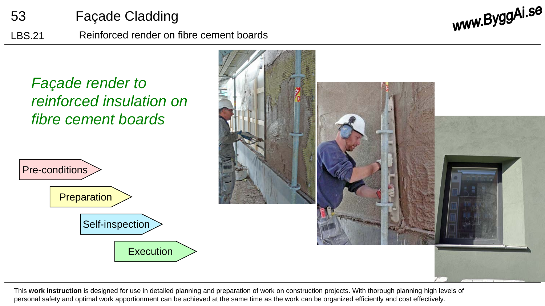

LBS.21 Reinforced render on fibre cement boards

www.ByggAi.se



This **work instruction** is designed for use in detailed planning and preparation of work on construction projects. With thorough planning high levels of personal safety and optimal work apportionment can be achieved at the same time as the work can be organized efficiently and cost effectively.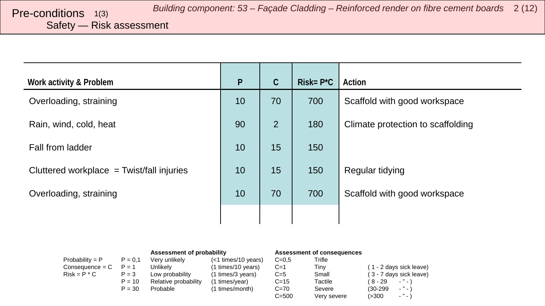<span id="page-1-0"></span>Safety — Risk assessment

| Work activity & Problem                     | $\mathsf{P}$ | $\mathcal{C}$ | $Risk = P^*C$ | Action                            |
|---------------------------------------------|--------------|---------------|---------------|-----------------------------------|
| Overloading, straining                      | 10           | 70            | 700           | Scaffold with good workspace      |
| Rain, wind, cold, heat                      | 90           | 2             | 180           | Climate protection to scaffolding |
| Fall from ladder                            | 10           | 15            | 150           |                                   |
| Cluttered workplace $=$ Twist/fall injuries | 10           | 15            | 150           | Regular tidying                   |
| Overloading, straining                      | 10           | 70            | 700           | Scaffold with good workspace      |
|                                             |              |               |               |                                   |

|                   |           | Assessment of probability |                       | Assessment of consequences |             |            |                         |
|-------------------|-----------|---------------------------|-----------------------|----------------------------|-------------|------------|-------------------------|
| $Probability = P$ | $P = 0.1$ | Very unlikely             | $(<1$ times/10 years) | $C = 0.5$                  | Trifle      |            |                         |
| Consequence = C   | $P = 1$   | Unlikely                  | (1 times/10 years)    | $C=1$                      | Tiny        |            | (1 - 2 days sick leave) |
| $Risk = P * C$    | $P = 3$   | Low probability           | (1 times/3 years)     | $C=5$                      | Small       |            | (3 - 7 days sick leave) |
|                   | $P = 10$  | Relative probability      | (1 times/year)        | $C = 15$                   | Tactile     | (8-29      | $-$ " $-$ )             |
|                   | $P = 30$  | Probable                  | (1 times/month)       | $C = 70$                   | Severe      | $(30-299)$ | $-$ " $-$ )             |
|                   |           |                           |                       | $C = 500$                  | Verv severe | (>300      | $\sim$ $\sim$           |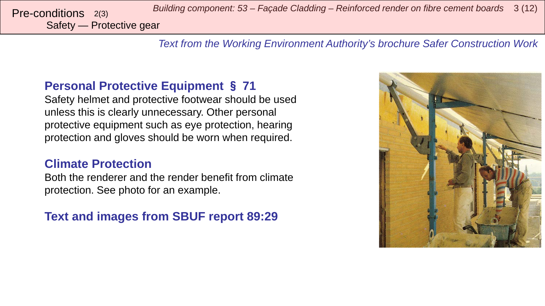*Building component: 53 – Façade Cladding – Reinforced render on fibre cement boards* <sup>3</sup> (12) Pre-conditions 2(3)

Safety — Protective gear

*Text from the Working Environment Authority's brochure Safer Construction Work*

### **Personal Protective Equipment** § **71**

Safety helmet and protective footwear should be used unless this is clearly unnecessary. Other personal protective equipment such as eye protection, hearing protection and gloves should be worn when required.

### **Climate Protection**

Both the renderer and the render benefit from climate protection. See photo for an example.

## **Text and images from SBUF report 89:29**

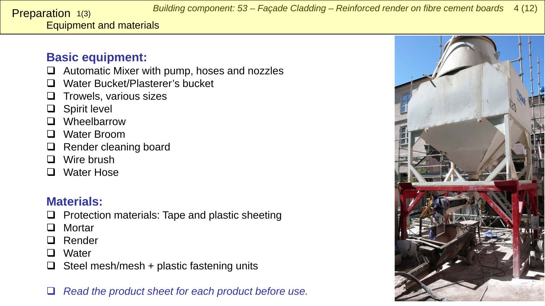<span id="page-3-0"></span>Equipment and materials Preparation 1(3)

## **Basic equipment:**

- $\Box$  Automatic Mixer with pump, hoses and nozzles
- □ Water Bucket/Plasterer's bucket
- $\Box$  Trowels, various sizes
- □ Spirit level
- **D** Wheelbarrow
- □ Water Broom
- □ Render cleaning board
- **D** Wire brush
- □ Water Hose

# **Materials:**

- $\Box$  Protection materials: Tape and plastic sheeting
- □ Mortar
- □ Render
- **Q** Water
- $\Box$  Steel mesh/mesh + plastic fastening units
- *Read the product sheet for each product before use.*

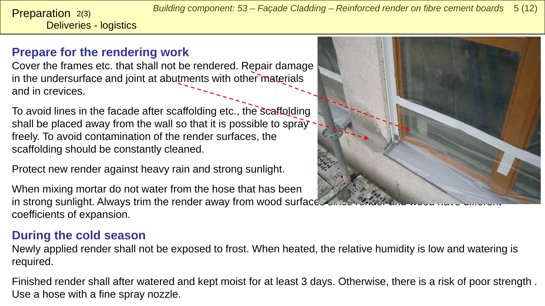*Building component: 53 – Façade Cladding – Reinforced render on fibre cement boards* 5 (12)

Deliveries - logistics **Preparation**  $2(3)$ 

# **Prepare for the rendering work**

Cover the frames etc. that shall not be rendered. Repair damage in the undersurface and joint at abutments with other materials and in crevices.

To avoid lines in the facade after scaffolding etc., the scaffolding shall be placed away from the wall so that it is possible to spray freely. To avoid contamination of the render surfaces, the scaffolding should be constantly cleaned.

Protect new render against heavy rain and strong sunlight.

When mixing mortar do not water from the hose that has been in strong sunlight. Always trim the render away from wood surface. coefficients of expansion.

# **During the cold season**

Newly applied render shall not be exposed to frost. When heated, the relative humidity is low and watering is required.

Finished render shall after watered and kept moist for at least 3 days. Otherwise, there is a risk of poor strength . Use a hose with a fine spray nozzle.

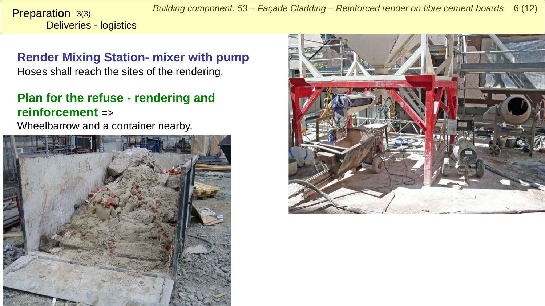*Building component: 53 – Façade Cladding – Reinforced render on fibre cement boards* 6 (12)

Deliveries - logistics Preparation 3(3)

**Render Mixing Station- mixer with pump**  Hoses shall reach the sites of the rendering.

# **Plan for the refuse - rendering and reinforcement** =>

Wheelbarrow and a container nearby.



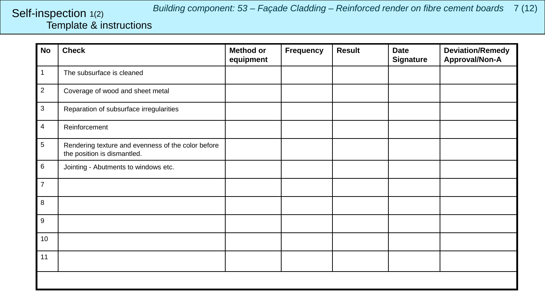#### *Building component: 53 – Façade Cladding – Reinforced render on fibre cement boards* 7 (12)

### <span id="page-6-0"></span>Template & instructions Self-inspection 1(2)

| <b>No</b>      | <b>Check</b>                                                                      | <b>Method or</b><br>equipment | Frequency | <b>Result</b> | <b>Date</b><br><b>Signature</b> | <b>Deviation/Remedy</b><br>Approval/Non-A |
|----------------|-----------------------------------------------------------------------------------|-------------------------------|-----------|---------------|---------------------------------|-------------------------------------------|
| 1              | The subsurface is cleaned                                                         |                               |           |               |                                 |                                           |
| $\overline{2}$ | Coverage of wood and sheet metal                                                  |                               |           |               |                                 |                                           |
| $\mathbf{3}$   | Reparation of subsurface irregularities                                           |                               |           |               |                                 |                                           |
| 4              | Reinforcement                                                                     |                               |           |               |                                 |                                           |
| 5              | Rendering texture and evenness of the color before<br>the position is dismantled. |                               |           |               |                                 |                                           |
| 6              | Jointing - Abutments to windows etc.                                              |                               |           |               |                                 |                                           |
| $\overline{7}$ |                                                                                   |                               |           |               |                                 |                                           |
| 8              |                                                                                   |                               |           |               |                                 |                                           |
| 9              |                                                                                   |                               |           |               |                                 |                                           |
| 10             |                                                                                   |                               |           |               |                                 |                                           |
| 11             |                                                                                   |                               |           |               |                                 |                                           |
|                |                                                                                   |                               |           |               |                                 |                                           |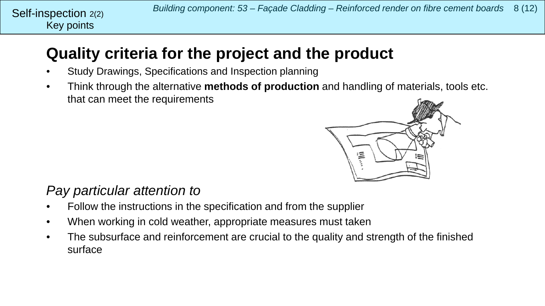# **Quality criteria for the project and the product**

- Study Drawings, Specifications and Inspection planning
- Think through the alternative **methods of production** and handling of materials, tools etc. that can meet the requirements



# *Pay particular attention to*

- Follow the instructions in the specification and from the supplier
- When working in cold weather, appropriate measures must taken
- The subsurface and reinforcement are crucial to the quality and strength of the finished surface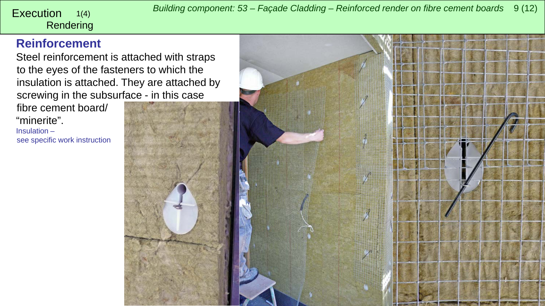<span id="page-8-0"></span>*Building component: 53 – Façade Cladding – Reinforced render on fibre cement boards* <sup>9</sup> (12) Execution

### Rendering 1(4)

### **Reinforcement**

Steel reinforcement is attached with straps to the eyes of the fasteners to which the insulation is attached. They are attached by screwing in the subsurface - in this case

fibre cement board/ "minerite". Insulation – see specific work instruction

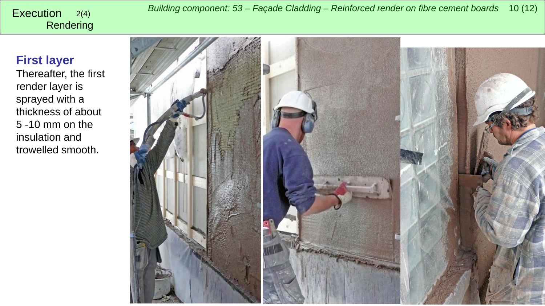# Rendering

### **First layer**

Thereafter, the first render layer is sprayed with a thickness of about 5 -10 mm on the insulation and trowelled smooth.

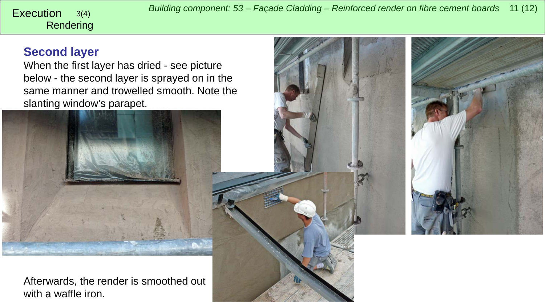*Building component: 53 – Façade Cladding – Reinforced render on fibre cement boards* <sup>11</sup> (12) Execution 3(4)

# Rendering

## **Second layer**

When the first layer has dried - see picture below - the second layer is sprayed on in the same manner and trowelled smooth. Note the slanting window's parapet.





Afterwards, the render is smoothed out with a waffle iron.